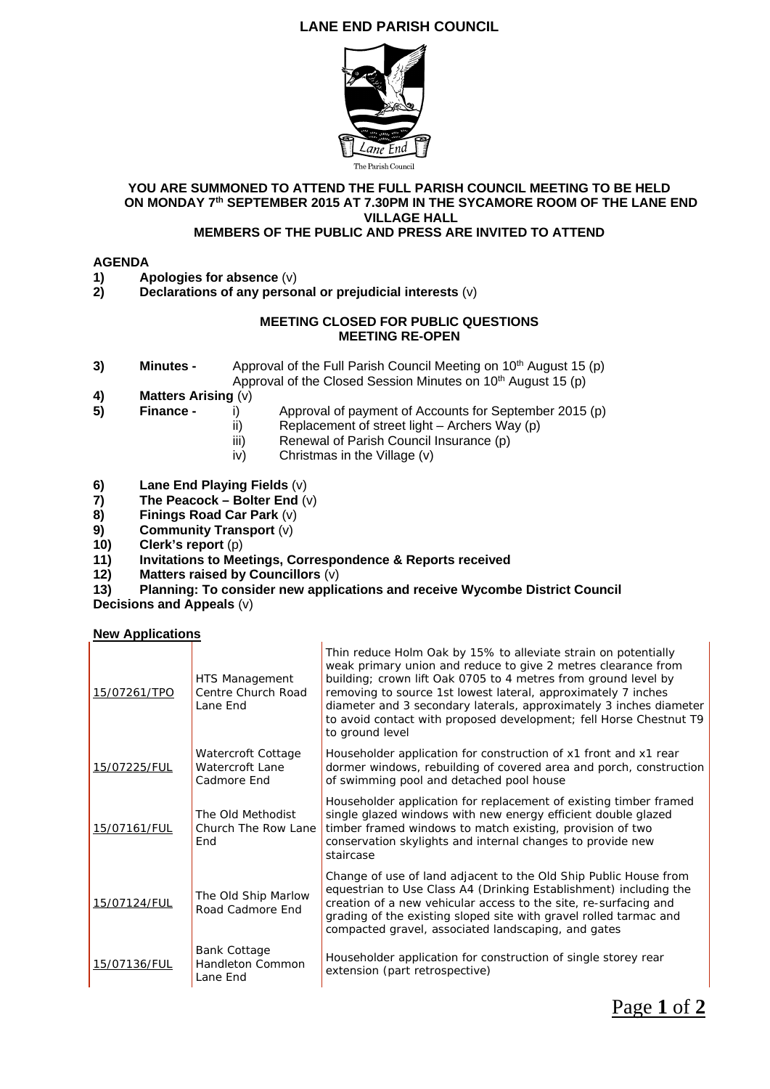## **LANE END PARISH COUNCIL**



#### **YOU ARE SUMMONED TO ATTEND THE FULL PARISH COUNCIL MEETING TO BE HELD ON MONDAY 7th SEPTEMBER 2015 AT 7.30PM IN THE SYCAMORE ROOM OF THE LANE END VILLAGE HALL**

## **MEMBERS OF THE PUBLIC AND PRESS ARE INVITED TO ATTEND**

### **AGENDA**

- **1)** Apologies for absence (v)<br>**2)** Declarations of any perso
- **2) Declarations of any personal or prejudicial interests** (v)

#### **MEETING CLOSED FOR PUBLIC QUESTIONS MEETING RE-OPEN**

- **3) Minutes -** Approval of the Full Parish Council Meeting on 10<sup>th</sup> August 15 (p) Approval of the Closed Session Minutes on  $10<sup>th</sup>$  August 15 (p)
- **4) Matters Arising** (v)
- **5) Finance - i**) Approval of payment of Accounts for September 2015 (p)
	- ii) Replacement of street light Archers Way (p)
	- iii) Renewal of Parish Council Insurance (p)
	- iv) Christmas in the Village (v)
- 
- **6)** Lane End Playing Fields (v)<br>**7)** The Peacock Bolter End (v **7) The Peacock – Bolter End** (v)
- **8) Finings Road Car Park** (v)
- **9) Community Transport** (v)
- **10)** Clerk's report (p)<br>**11)** Invitations to Mee
- **11) Invitations to Meetings, Correspondence & Reports received**

 $\overline{1}$ 

- **12) Matters raised by Councillors** (v)
- **13) Planning: To consider new applications and receive Wycombe District Council**

**Decisions and Appeals** (v)

#### **New Applications**

| 15/07261/TPO | HTS Management<br>Centre Church Road<br>Lane End            | Thin reduce Holm Oak by 15% to alleviate strain on potentially<br>weak primary union and reduce to give 2 metres clearance from<br>building; crown lift Oak 0705 to 4 metres from ground level by<br>removing to source 1st lowest lateral, approximately 7 inches<br>diameter and 3 secondary laterals, approximately 3 inches diameter<br>to avoid contact with proposed development; fell Horse Chestnut T9<br>to ground level |
|--------------|-------------------------------------------------------------|-----------------------------------------------------------------------------------------------------------------------------------------------------------------------------------------------------------------------------------------------------------------------------------------------------------------------------------------------------------------------------------------------------------------------------------|
| 15/07225/FUL | Watercroft Cottage<br><b>Watercroft Lane</b><br>Cadmore End | Householder application for construction of x1 front and x1 rear<br>dormer windows, rebuilding of covered area and porch, construction<br>of swimming pool and detached pool house                                                                                                                                                                                                                                                |
| 15/07161/FUL | The Old Methodist<br>Church The Row Lane<br>End             | Householder application for replacement of existing timber framed<br>single glazed windows with new energy efficient double glazed<br>timber framed windows to match existing, provision of two<br>conservation skylights and internal changes to provide new<br>staircase                                                                                                                                                        |
| 15/07124/FUL | The Old Ship Marlow<br>Road Cadmore End                     | Change of use of land adjacent to the Old Ship Public House from<br>equestrian to Use Class A4 (Drinking Establishment) including the<br>creation of a new vehicular access to the site, re-surfacing and<br>grading of the existing sloped site with gravel rolled tarmac and<br>compacted gravel, associated landscaping, and gates                                                                                             |
| 15/07136/FUL | <b>Bank Cottage</b><br>Handleton Common<br>Lane End         | Householder application for construction of single storey rear<br>extension (part retrospective)                                                                                                                                                                                                                                                                                                                                  |

Page **1** of **2**